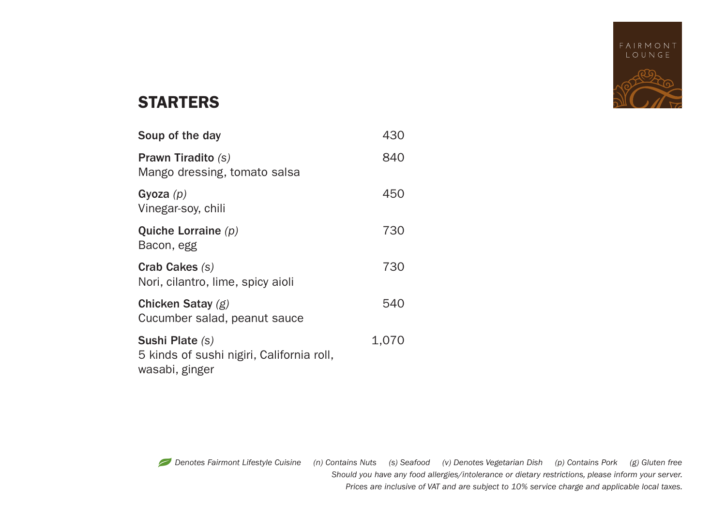

# STARTERS

| Soup of the day                                                                | 430   |
|--------------------------------------------------------------------------------|-------|
| <b>Prawn Tiradito (s)</b><br>Mango dressing, tomato salsa                      | 840   |
| Gyoza $(p)$<br>Vinegar-soy, chili                                              | 450   |
| Quiche Lorraine $(p)$<br>Bacon, egg                                            | 730   |
| Crab Cakes (s)<br>Nori, cilantro, lime, spicy aioli                            | 730   |
| Chicken Satay $(g)$<br>Cucumber salad, peanut sauce                            | 540   |
| Sushi Plate (s)<br>5 kinds of sushi nigiri, California roll,<br>wasabi, ginger | 1,070 |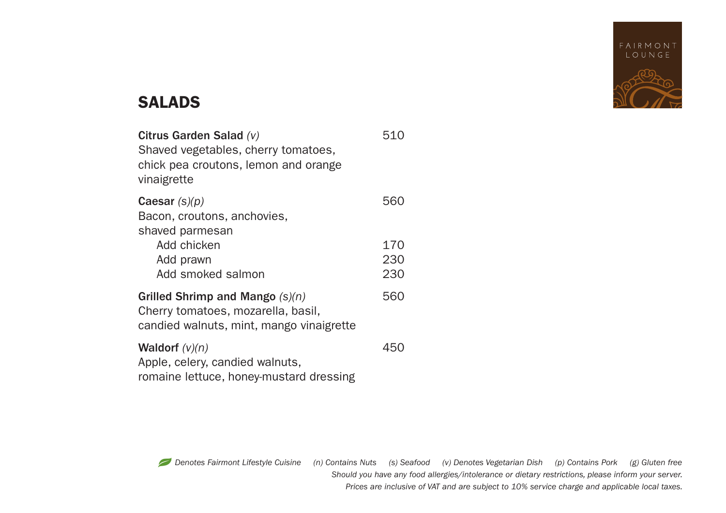

# SALADS

| Citrus Garden Salad (v)<br>Shaved vegetables, cherry tomatoes,<br>chick pea croutons, lemon and orange<br>vinaigrette | 510 |
|-----------------------------------------------------------------------------------------------------------------------|-----|
| Caesar $(s)(p)$<br>Bacon, croutons, anchovies,<br>shaved parmesan                                                     | 560 |
| Add chicken                                                                                                           | 170 |
| Add prawn                                                                                                             | 230 |
| Add smoked salmon                                                                                                     | 230 |
| Grilled Shrimp and Mango $(s)(n)$<br>Cherry tomatoes, mozarella, basil,<br>candied walnuts, mint, mango vinaigrette   | 560 |
| <b>Waldorf</b> $(v)(n)$<br>Apple, celery, candied walnuts,<br>romaine lettuce, honey-mustard dressing                 | 450 |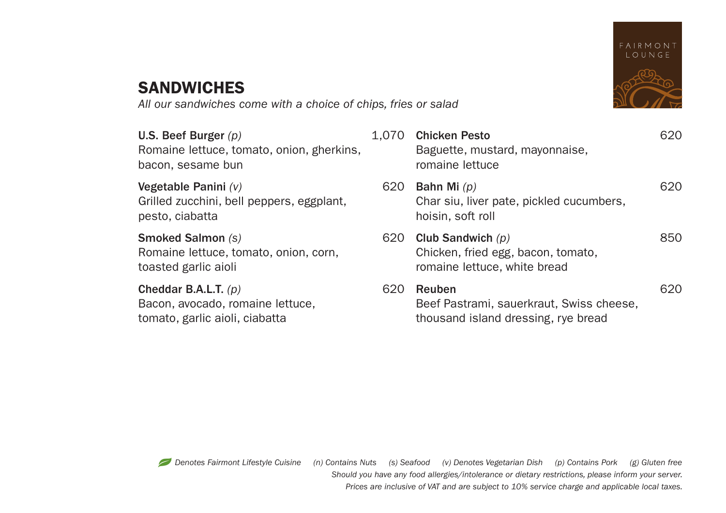

# **SANDWICHES**

*All our sandwiches come with a choice of chips, fries or salad*

U.S. Beef Burger (p) Romaine lettuce, tomato, onion, gherkin bacon, sesame bun

**Vegetable Panini**  $(V)$ Grilled zucchini, bell peppers, eggplant, pesto, ciabatta

**Smoked Salmon (s)** Romaine lettuce, tomato, onion, corn, toasted garlic aioli

**Cheddar B.A.L.T.** (p) Bacon, avocado, romaine lettuce, tomato, garlic aioli, ciabatta

| ٦S. | 1.070 | <b>Chicken Pesto</b><br>Baguette, mustard, mayonnaise,<br>romaine lettuce                 |     |
|-----|-------|-------------------------------------------------------------------------------------------|-----|
|     | 620   | Bahn Mi $(p)$<br>Char siu, liver pate, pickled cucumbers,<br>hoisin, soft roll            | 620 |
|     | 620   | Club Sandwich $(p)$<br>Chicken, fried egg, bacon, tomato,<br>romaine lettuce, white bread | 850 |
|     | 620   | Reuben<br>Beef Pastrami, sauerkraut, Swiss cheese,<br>thousand island dressing, rye bread | 620 |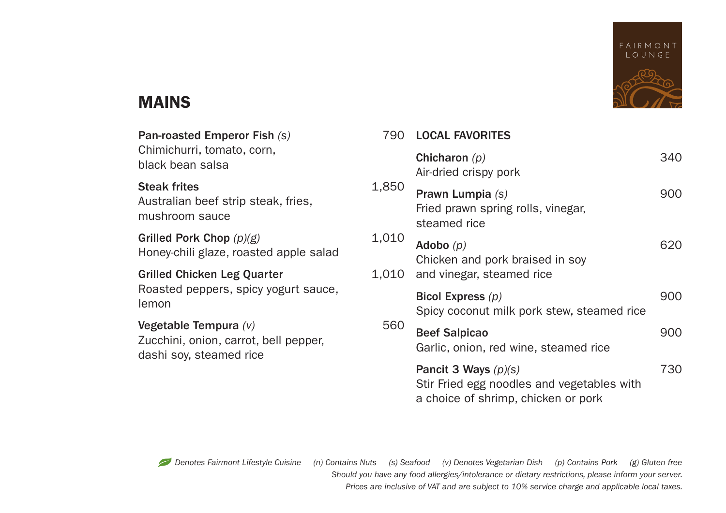

# MAINS

| Pan-roasted Emperor Fish (s)                                                                | 790   | <b>LOCAL FAVORITES</b>                                                                                      |     |
|---------------------------------------------------------------------------------------------|-------|-------------------------------------------------------------------------------------------------------------|-----|
| Chimichurri, tomato, corn,<br>black bean salsa                                              |       | Chicharon $(p)$<br>Air-dried crispy pork                                                                    | 340 |
| <b>Steak frites</b><br>Australian beef strip steak, fries,<br>mushroom sauce                | 1,850 | Prawn Lumpia (s)<br>Fried prawn spring rolls, vinegar,<br>steamed rice                                      | 900 |
| Grilled Pork Chop $(p)(g)$<br>Honey-chili glaze, roasted apple salad                        | 1,010 | Adobo $(p)$<br>Chicken and pork braised in soy                                                              | 620 |
| Grilled Chicken Leg Quarter                                                                 | 1.010 | and vinegar, steamed rice                                                                                   |     |
| Roasted peppers, spicy yogurt sauce,<br>lemon                                               |       | Bicol Express $(p)$<br>Spicy coconut milk pork stew, steamed rice                                           | 900 |
| Vegetable Tempura $(v)$<br>Zucchini, onion, carrot, bell pepper,<br>dashi soy, steamed rice | 560   | <b>Beef Salpicao</b><br>Garlic, onion, red wine, steamed rice                                               | 900 |
|                                                                                             |       | Pancit 3 Ways $(p)(s)$<br>Stir Fried egg noodles and vegetables with<br>a choice of shrimp, chicken or pork | 730 |

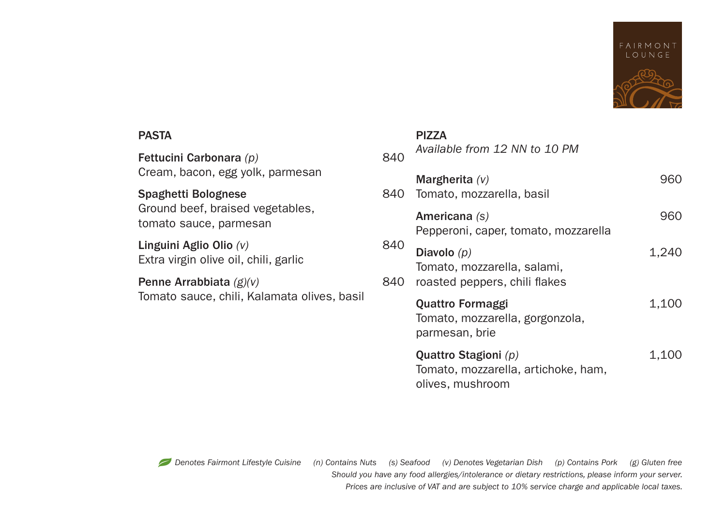

#### PASTA

Fettucini Carbonara (p) Cream, bacon, egg yolk, parmesan

# Spaghetti Bolognese

Ground beef, braised vegetables, tomato sauce, parmesan

Linguini Aglio Olio (v) Extra virgin olive oil, chili, garlic

## Penne Arrabbiata (g)(v)

Tomato sauce, chili, Kalamata olives, basil

#### PIZZA

| 840        | Available from 12 NN to 10 PM                                                   |       |
|------------|---------------------------------------------------------------------------------|-------|
| 840.       | Margherita $(v)$<br>Tomato, mozzarella, basil                                   | 960   |
|            | Americana (s)<br>Pepperoni, caper, tomato, mozzarella                           | 960   |
| 840<br>840 | Diavolo $(p)$<br>Tomato, mozzarella, salami,<br>roasted peppers, chili flakes   | 1.240 |
|            | Quattro Formaggi<br>Tomato, mozzarella, gorgonzola,<br>parmesan, brie           | 1.100 |
|            | Quattro Stagioni (p)<br>Tomato, mozzarella, artichoke, ham,<br>olives, mushroom | 1,100 |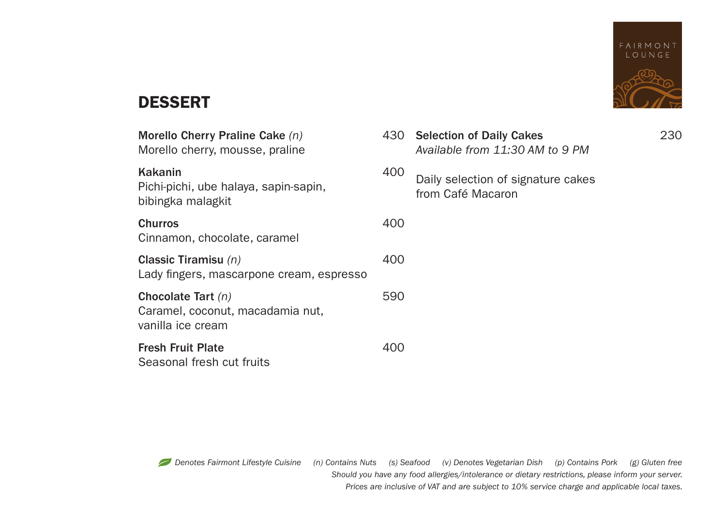

# DESSERT

| Morello Cherry Praline Cake (n)<br>Morello cherry, mousse, praline            | 430 | <b>Selection of Daily Cakes</b><br>Available from 11:30 AM to 9 PM | 230 |
|-------------------------------------------------------------------------------|-----|--------------------------------------------------------------------|-----|
| Kakanin<br>Pichi-pichi, ube halaya, sapin-sapin,<br>bibingka malagkit         | 400 | Daily selection of signature cakes<br>from Café Macaron            |     |
| <b>Churros</b><br>Cinnamon, chocolate, caramel                                | 400 |                                                                    |     |
| Classic Tiramisu $(n)$<br>Lady fingers, mascarpone cream, espresso            | 400 |                                                                    |     |
| Chocolate Tart $(n)$<br>Caramel, coconut, macadamia nut,<br>vanilla ice cream | 590 |                                                                    |     |
| <b>Fresh Fruit Plate</b><br>Seasonal fresh cut fruits                         | 400 |                                                                    |     |
|                                                                               |     |                                                                    |     |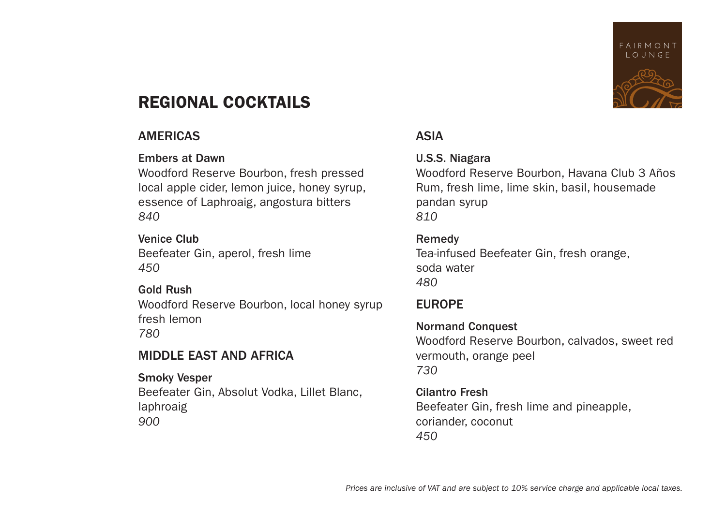# FAIRMONT **IOUNGE**

# REGIONAL COCKTAILS

## AMERICAS

## Embers at Dawn

Woodford Reserve Bourbon, fresh pressed local apple cider, lemon juice, honey syrup, essence of Laphroaig, angostura bitters *840*

#### Venice Club Beefeater Gin, aperol, fresh lime *450*

## Gold Rush

Woodford Reserve Bourbon, local honey syrup fresh lemon *780*

## MIDDLE EAST AND AFRICA

Smoky Vesper Beefeater Gin, Absolut Vodka, Lillet Blanc, laphroaig *900*

## ASIA

## U.S.S. Niagara

Woodford Reserve Bourbon, Havana Club 3 Años Rum, fresh lime, lime skin, basil, housemade pandan syrup *810*

## Remedy

Tea-infused Beefeater Gin, fresh orange, soda water *480*

## EUROPE

Normand Conquest Woodford Reserve Bourbon, calvados, sweet red vermouth, orange peel *730*

Cilantro Fresh Beefeater Gin, fresh lime and pineapple, coriander, coconut *450*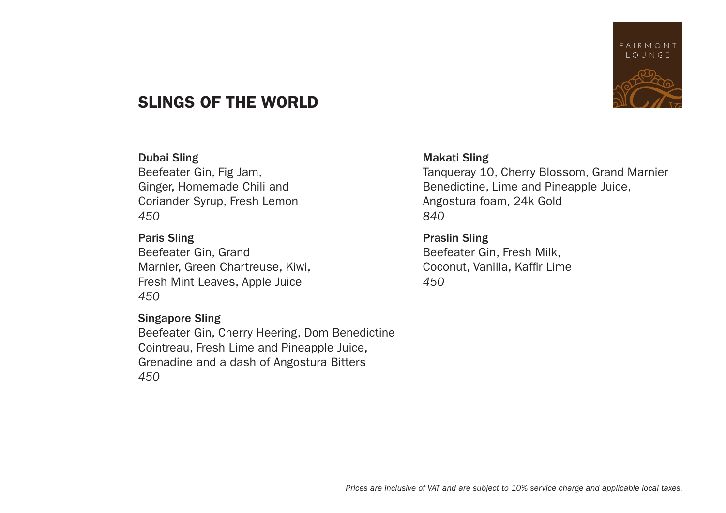

# SLINGS OF THE WORLD

#### Dubai Sling

Beefeater Gin, Fig Jam, Ginger, Homemade Chili and Coriander Syrup, Fresh Lemon *450*

#### Paris Sling

Beefeater Gin, Grand Marnier, Green Chartreuse, Kiwi, Fresh Mint Leaves, Apple Juice *450*

#### Singapore Sling

Beefeater Gin, Cherry Heering, Dom Benedictine Cointreau, Fresh Lime and Pineapple Juice, Grenadine and a dash of Angostura Bitters *450*

#### Makati Sling

Tanqueray 10, Cherry Blossom, Grand Marnier Benedictine, Lime and Pineapple Juice, Angostura foam, 24k Gold *840*

## Praslin Sling Beefeater Gin, Fresh Milk, Coconut, Vanilla, Kaffir Lime *450*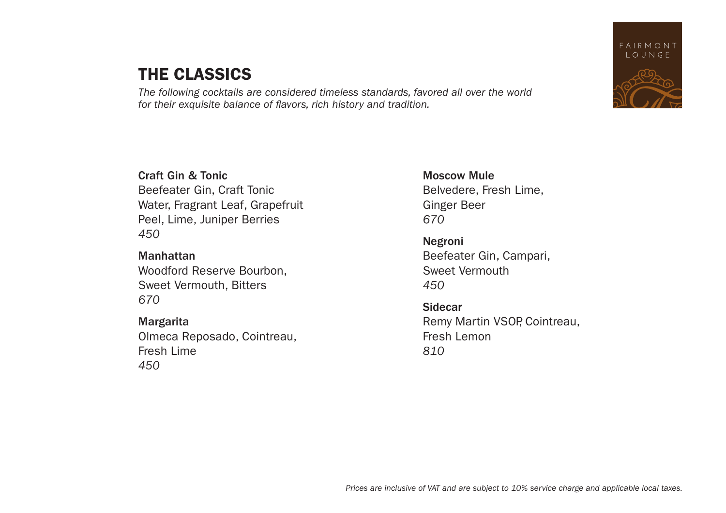# THE CLASSICS

*The following cocktails are considered timeless standards, favored all over the world for their exquisite balance of flavors, rich history and tradition.*



Manhattan Woodford Reserve Bourbon, Sweet Vermouth, Bitters *670*

## Margarita Olmeca Reposado, Cointreau, Fresh Lime *450*

Moscow Mule Belvedere, Fresh Lime, Ginger Beer *670*

Negroni Beefeater Gin, Campari, Sweet Vermouth *450*

Sidecar Remy Martin VSOP, Cointreau, Fresh Lemon *810*

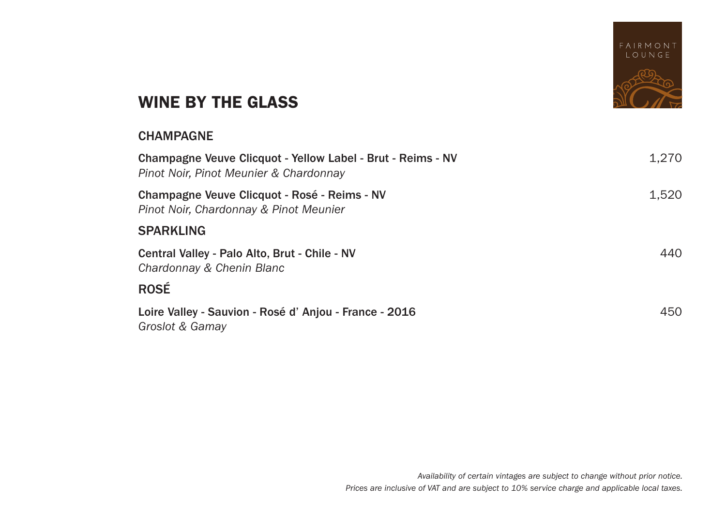

# WINE BY THE GLASS

## CHAMPAGNE

| Champagne Veuve Clicquot - Yellow Label - Brut - Reims - NV<br>Pinot Noir, Pinot Meunier & Chardonnay | 1,270 |
|-------------------------------------------------------------------------------------------------------|-------|
| Champagne Veuve Clicquot - Rosé - Reims - NV<br>Pinot Noir, Chardonnay & Pinot Meunier                | 1,520 |
| <b>SPARKLING</b>                                                                                      |       |
| Central Valley - Palo Alto, Brut - Chile - NV<br>Chardonnay & Chenin Blanc                            | 440   |
| <b>ROSÉ</b>                                                                                           |       |
| Loire Valley - Sauvion - Rosé d'Anjou - France - 2016<br>Groslot & Gamay                              | 450   |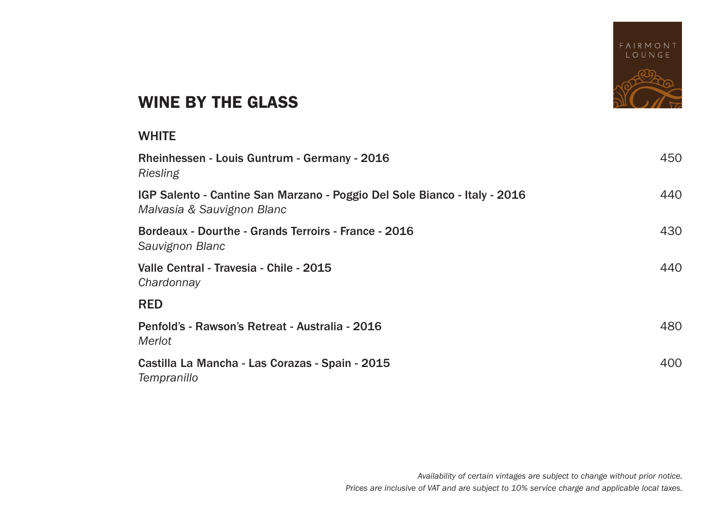

# WINE BY THE GLASS

#### **WHITE**

| Rheinhessen - Louis Guntrum - Germany - 2016<br>Riesling                                                | 450 |
|---------------------------------------------------------------------------------------------------------|-----|
| IGP Salento - Cantine San Marzano - Poggio Del Sole Bianco - Italy - 2016<br>Malvasia & Sauvignon Blanc | 440 |
| Bordeaux - Dourthe - Grands Terroirs - France - 2016<br>Sauvignon Blanc                                 | 430 |
| Valle Central - Travesia - Chile - 2015<br>Chardonnay                                                   | 440 |
| <b>RED</b>                                                                                              |     |
| Penfold's - Rawson's Retreat - Australia - 2016<br>Merlot                                               | 480 |
| Castilla La Mancha - Las Corazas - Spain - 2015<br>Tempranillo                                          | 400 |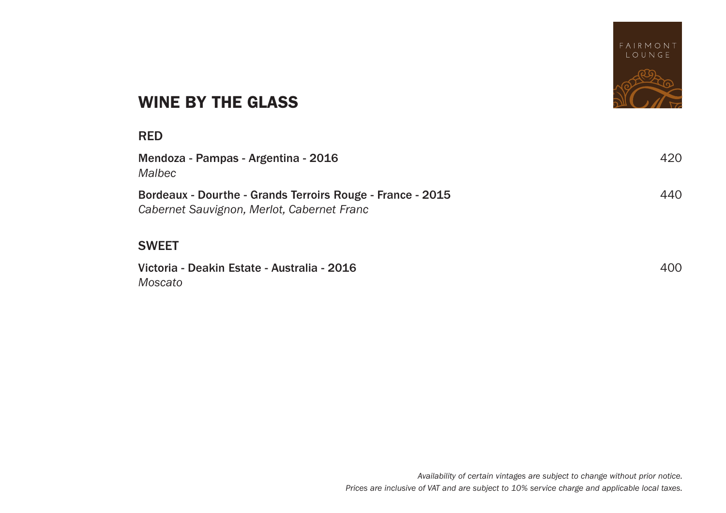

# WINE BY THE GLASS

#### RED

| Mendoza - Pampas - Argentina - 2016<br>Malbec                                                            | 420 |
|----------------------------------------------------------------------------------------------------------|-----|
| Bordeaux - Dourthe - Grands Terroirs Rouge - France - 2015<br>Cabernet Sauvignon, Merlot, Cabernet Franc | 440 |

## SWEET

Victoria - Deakin Estate - Australia - 2016 400 *Moscato*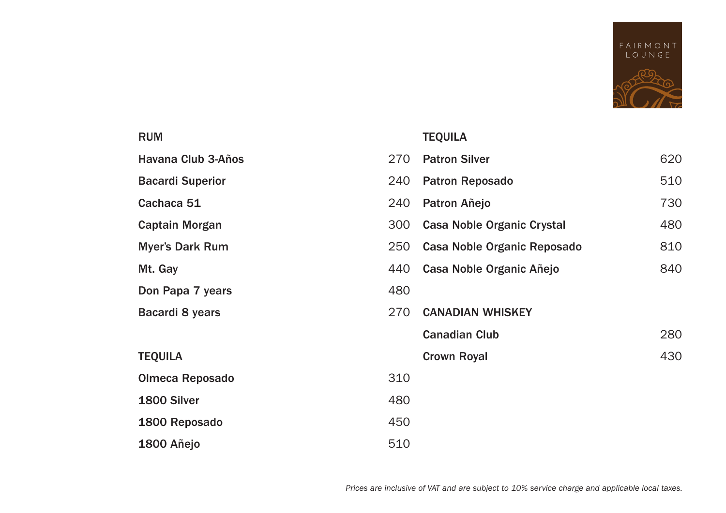

#### RUM

Havana Club 3-Años

**Bacardi Superior** 

Cachaca 51

Captain Morgan

Myer's Dark Rum

Mt. Gay

Don Papa 7 years

Bacardi 8 years

# TEQUILA

1800 Añejo

Olmeca Reposado 1800 Silver 1800 Reposado

#### TEQUILA

| 270  | <b>Patron Silver</b>        | 620 |
|------|-----------------------------|-----|
| 240  | <b>Patron Reposado</b>      | 510 |
| 240  | Patron Añejo                | 730 |
| 300  | Casa Noble Organic Crystal  | 480 |
| 250  | Casa Noble Organic Reposado | 810 |
| 440  | Casa Noble Organic Añejo    | 840 |
| 480  |                             |     |
| 270. | <b>CANADIAN WHISKEY</b>     |     |
|      | <b>Canadian Club</b>        | 280 |
|      | Crown Royal                 | 430 |
| 310  |                             |     |
| 480  |                             |     |
| 450  |                             |     |
| 510  |                             |     |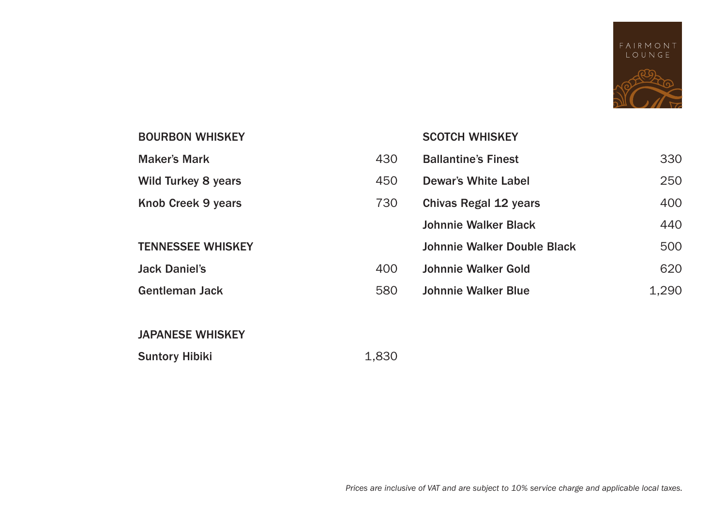

## Maker's Mark 430 Wild Turkey 8 years 450 Knob Creek 9 years 730 Jack Daniel's 400 Gentleman Jack 580 SCOTCH WHISKEY Ballantine's Finest 330 Dewar's White Label 250 Chivas Regal 12 years 400 Johnnie Walker Black **440** Johnnie Walker Double Black 500 Johnnie Walker Gold 620 Johnnie Walker Blue 1,290

#### BOURBON WHISKEY

#### TENNESSEE WHISKEY

#### JAPANESE WHISKEY

#### Suntory Hibiki 1,830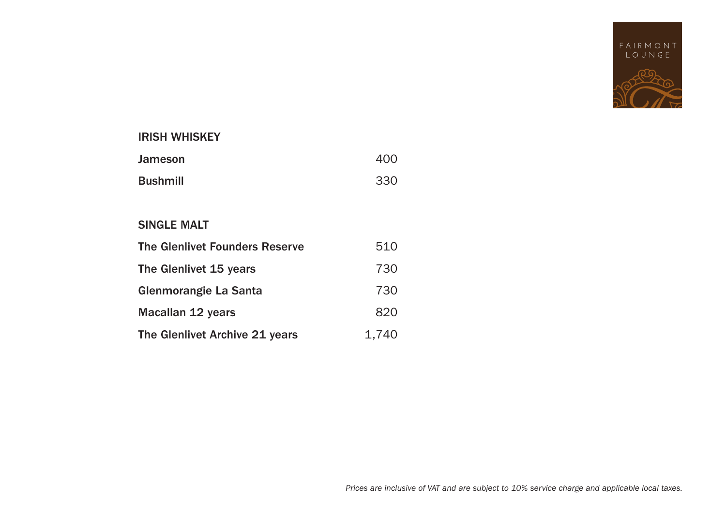

#### IRISH WHISKEY

| Jameson         | 400 |
|-----------------|-----|
| <b>Bushmill</b> | 330 |

#### SINGLE MALT

| The Glenlivet Founders Reserve | 510   |
|--------------------------------|-------|
| The Glenlivet 15 years         | 730   |
| Glenmorangie La Santa          | 730   |
| Macallan 12 years              | 820   |
| The Glenlivet Archive 21 years | 1.740 |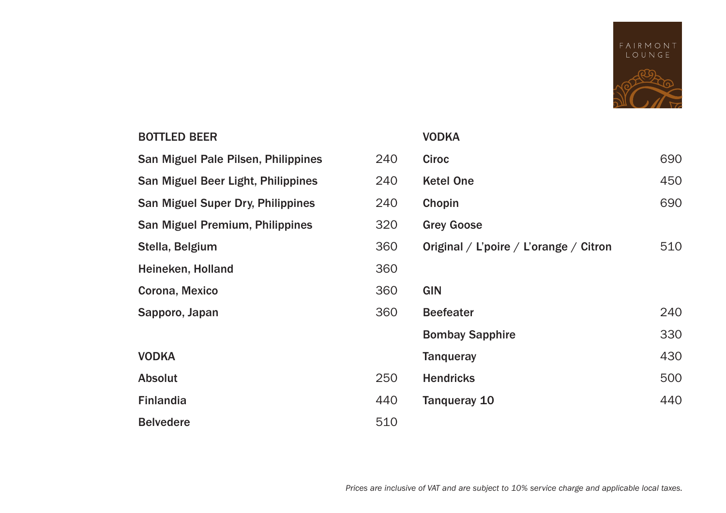

## BOTTLED BEER

| San Miguel Pale Pilsen, Philippines | 240 |
|-------------------------------------|-----|
| San Miguel Beer Light, Philippines  | 240 |
| San Miguel Super Dry, Philippines   | 240 |
| San Miguel Premium, Philippines     | 320 |
| Stella, Belgium                     | 360 |
| Heineken, Holland                   | 360 |
| Corona, Mexico                      | 360 |
| Sapporo, Japan                      | 360 |
|                                     |     |
| <b>VODKA</b>                        |     |
| Absolut                             | 250 |
| <b>Finlandia</b>                    | 440 |
| <b>Belvedere</b>                    | 510 |
|                                     |     |

#### VODKA

| 240 | Ciroc                                  | 690 |
|-----|----------------------------------------|-----|
| 240 | <b>Ketel One</b>                       | 450 |
| 240 | Chopin                                 | 690 |
| 320 | <b>Grey Goose</b>                      |     |
| 360 | Original / L'poire / L'orange / Citron | 510 |
| 360 |                                        |     |
| 360 | <b>GIN</b>                             |     |
| 360 | <b>Beefeater</b>                       | 240 |
|     | <b>Bombay Sapphire</b>                 | 330 |
|     | <b>Tangueray</b>                       | 430 |
| 250 | <b>Hendricks</b>                       | 500 |
| 140 | Tanqueray 10                           | 440 |
| 510 |                                        |     |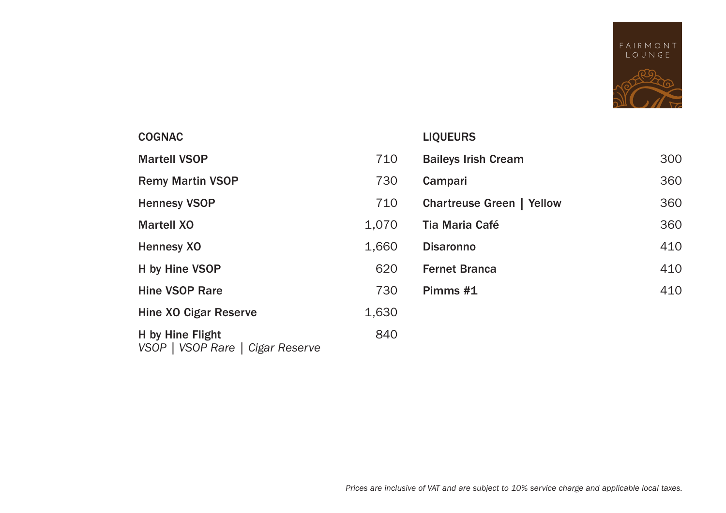

#### COGNAC Martell VSOP 710 Remy Martin VSOP 730 Hennesy VSOP 710 Martell XO 1,070 Hennesy XO 1,660 H by Hine VSOP 620 Hine VSOP Rare 730 Hine XO Cigar Reserve 1,630 H by Hine Flight 840 *VSOP | VSOP Rare | Cigar Reserve* LIQUEURS Baileys Irish Cream 300 Campari 360 Chartreuse Green | Yellow 360 Tia Maria Café 360 Disaronno 410 Fernet Branca 410 **Pimms #1** 410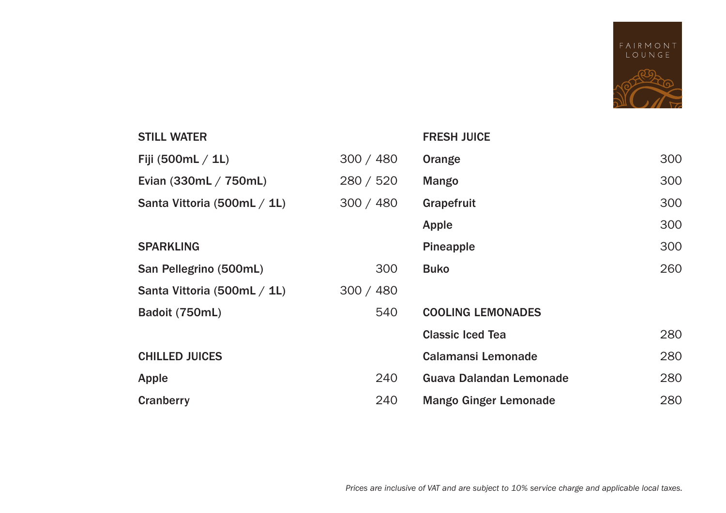

| <b>STILL WATER</b>          |           | <b>FRESH JUICE</b>           |     |
|-----------------------------|-----------|------------------------------|-----|
| Fiji (500mL / 1L)           | 300 / 480 | Orange                       | 300 |
| Evian (330mL / 750mL)       | 280 / 520 | Mango                        | 300 |
| Santa Vittoria (500mL / 1L) | 300 / 480 | Grapefruit                   | 300 |
|                             |           | Apple                        | 300 |
| <b>SPARKLING</b>            |           | Pineapple                    | 300 |
| San Pellegrino (500mL)      | 300       | <b>Buko</b>                  | 260 |
| Santa Vittoria (500mL / 1L) | 300 / 480 |                              |     |
| Badoit (750mL)              | 540       | <b>COOLING LEMONADES</b>     |     |
|                             |           | <b>Classic Iced Tea</b>      | 280 |
| <b>CHILLED JUICES</b>       |           | <b>Calamansi Lemonade</b>    | 280 |
| Apple                       | 240       | Guava Dalandan Lemonade      | 280 |
| Cranberry                   | 240       | <b>Mango Ginger Lemonade</b> | 280 |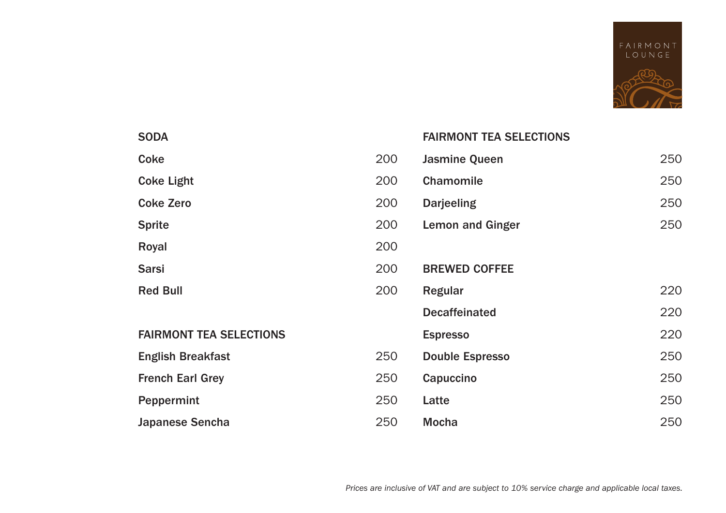

| <b>SODA</b>                    |     | <b>FAIRMONT TEA SELECTIONS</b> |     |
|--------------------------------|-----|--------------------------------|-----|
| Coke                           | 200 | <b>Jasmine Queen</b>           | 250 |
| <b>Coke Light</b>              | 200 | <b>Chamomile</b>               | 250 |
| <b>Coke Zero</b>               | 200 | <b>Darjeeling</b>              | 250 |
| <b>Sprite</b>                  | 200 | <b>Lemon and Ginger</b>        | 250 |
| Royal                          | 200 |                                |     |
| <b>Sarsi</b>                   | 200 | <b>BREWED COFFEE</b>           |     |
| <b>Red Bull</b>                | 200 | Regular                        | 220 |
|                                |     | <b>Decaffeinated</b>           | 220 |
| <b>FAIRMONT TEA SELECTIONS</b> |     | <b>Espresso</b>                | 220 |
| <b>English Breakfast</b>       | 250 | <b>Double Espresso</b>         | 250 |
| <b>French Earl Grey</b>        | 250 | Capuccino                      | 250 |
| Peppermint                     | 250 | Latte                          | 250 |
| Japanese Sencha                | 250 | <b>Mocha</b>                   | 250 |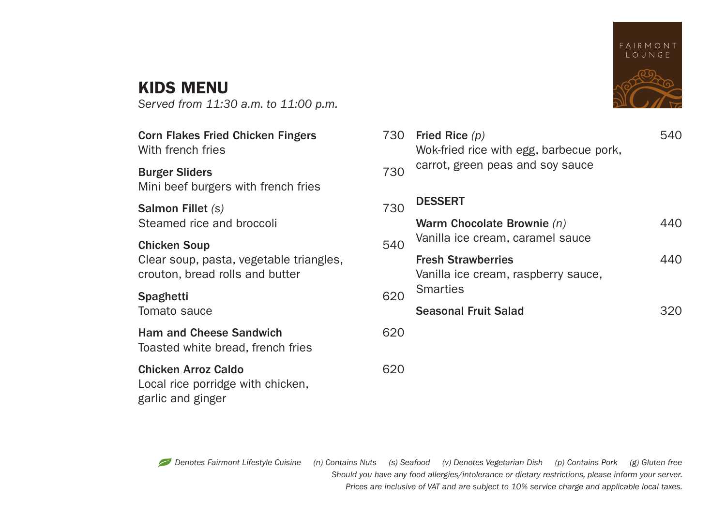# KIDS MENU

*Served from 11:30 a.m. to 11:00 p.m.*

| Corn Flakes Fried Chicken Fingers<br>With french fries                               | 730 | Fried Rice $(p)$<br>Wok-fried rice with egg, barbecue pork,      | 540 |
|--------------------------------------------------------------------------------------|-----|------------------------------------------------------------------|-----|
| <b>Burger Sliders</b><br>Mini beef burgers with french fries                         | 730 | carrot, green peas and soy sauce                                 |     |
| <b>Salmon Fillet (s)</b>                                                             | 730 | <b>DESSERT</b>                                                   |     |
| Steamed rice and broccoli                                                            |     | Warm Chocolate Brownie $(n)$                                     | 440 |
| <b>Chicken Soup</b>                                                                  | 540 | Vanilla ice cream, caramel sauce                                 |     |
| Clear soup, pasta, vegetable triangles,<br>crouton, bread rolls and butter           |     | <b>Fresh Strawberries</b><br>Vanilla ice cream, raspberry sauce, | 440 |
| Spaghetti                                                                            | 620 | Smarties                                                         |     |
| Tomato sauce                                                                         |     | <b>Seasonal Fruit Salad</b>                                      | 320 |
| <b>Ham and Cheese Sandwich</b><br>Toasted white bread, french fries                  | 620 |                                                                  |     |
| <b>Chicken Arroz Caldo</b><br>Local rice porridge with chicken,<br>garlic and ginger | 620 |                                                                  |     |



| 730 | Wok-fried rice with egg, barbecue pork,<br>carrot, green peas and soy sauce         |  |
|-----|-------------------------------------------------------------------------------------|--|
| 730 | <b>DESSERT</b>                                                                      |  |
| 540 | Warm Chocolate Brownie (n)<br>Vanilla ice cream, caramel sauce                      |  |
| 620 | <b>Fresh Strawberries</b><br>Vanilla ice cream, raspberry sauce,<br><b>Smarties</b> |  |
|     | <b>Seasonal Fruit Salad</b>                                                         |  |
| 620 |                                                                                     |  |
|     |                                                                                     |  |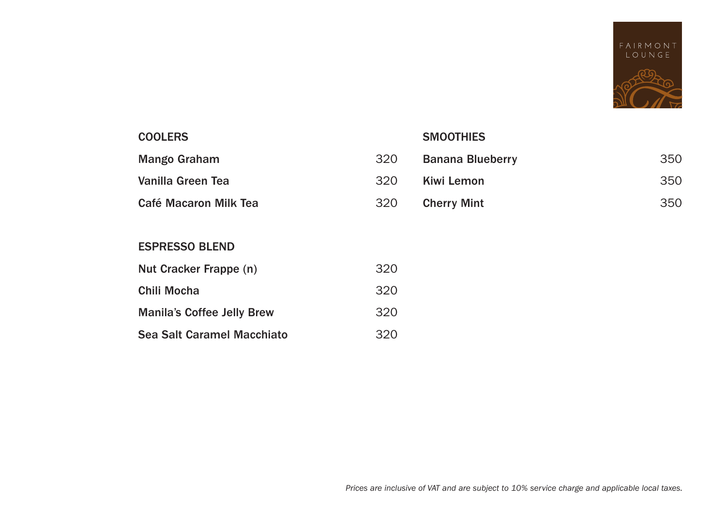

#### **COOLERS**

Mango Graham

Vanilla Green Tea

Café Macaron Milk Tea

#### **SMOOTHIES**

| 320 | <b>Banana Blueberry</b> | 350 |
|-----|-------------------------|-----|
| 320 | Kiwi Lemon              | 350 |
| 320 | <b>Cherry Mint</b>      | 350 |

#### ESPRESSO BLEND

| Nut Cracker Frappe (n)            | 320 |
|-----------------------------------|-----|
| Chili Mocha                       | 320 |
| <b>Manila's Coffee Jelly Brew</b> | 320 |
| Sea Salt Caramel Macchiato        | 320 |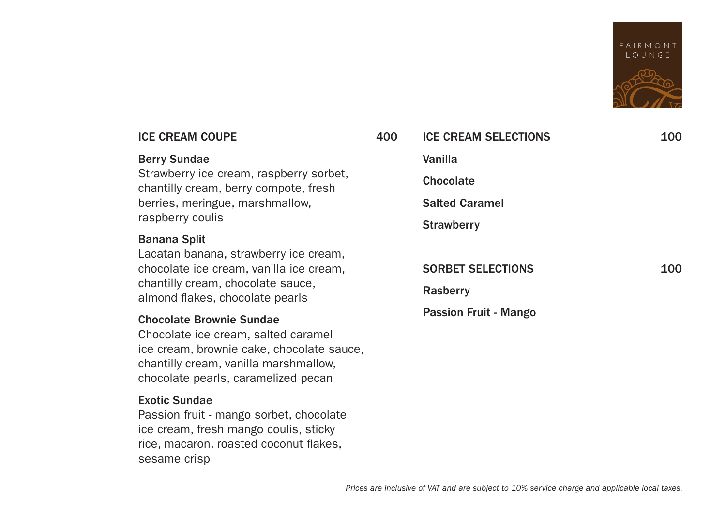

| <b>ICE CREAM COUPE</b>                                                                                                                                                                              | 400 | <b>ICE CREAM SELECTIONS</b> | 100 |
|-----------------------------------------------------------------------------------------------------------------------------------------------------------------------------------------------------|-----|-----------------------------|-----|
| <b>Berry Sundae</b>                                                                                                                                                                                 |     | Vanilla                     |     |
| Strawberry ice cream, raspberry sorbet,<br>chantilly cream, berry compote, fresh                                                                                                                    |     | <b>Chocolate</b>            |     |
| berries, meringue, marshmallow,                                                                                                                                                                     |     | <b>Salted Caramel</b>       |     |
| raspberry coulis                                                                                                                                                                                    |     | <b>Strawberry</b>           |     |
| <b>Banana Split</b><br>Lacatan banana, strawberry ice cream,<br>chocolate ice cream, vanilla ice cream,<br>chantilly cream, chocolate sauce,<br>almond flakes, chocolate pearls                     |     | <b>SORBET SELECTIONS</b>    | 100 |
|                                                                                                                                                                                                     |     | Rasberry                    |     |
| <b>Chocolate Brownie Sundae</b><br>Chocolate ice cream, salted caramel<br>ice cream, brownie cake, chocolate sauce,<br>chantilly cream, vanilla marshmallow,<br>chocolate pearls, caramelized pecan |     | Passion Fruit - Mango       |     |
| <b>Exotic Sundae</b><br>Passion fruit - mango sorbet, chocolate                                                                                                                                     |     |                             |     |

ice cream, fresh mango coulis, sticky rice, macaron, roasted coconut flakes,

sesame crisp